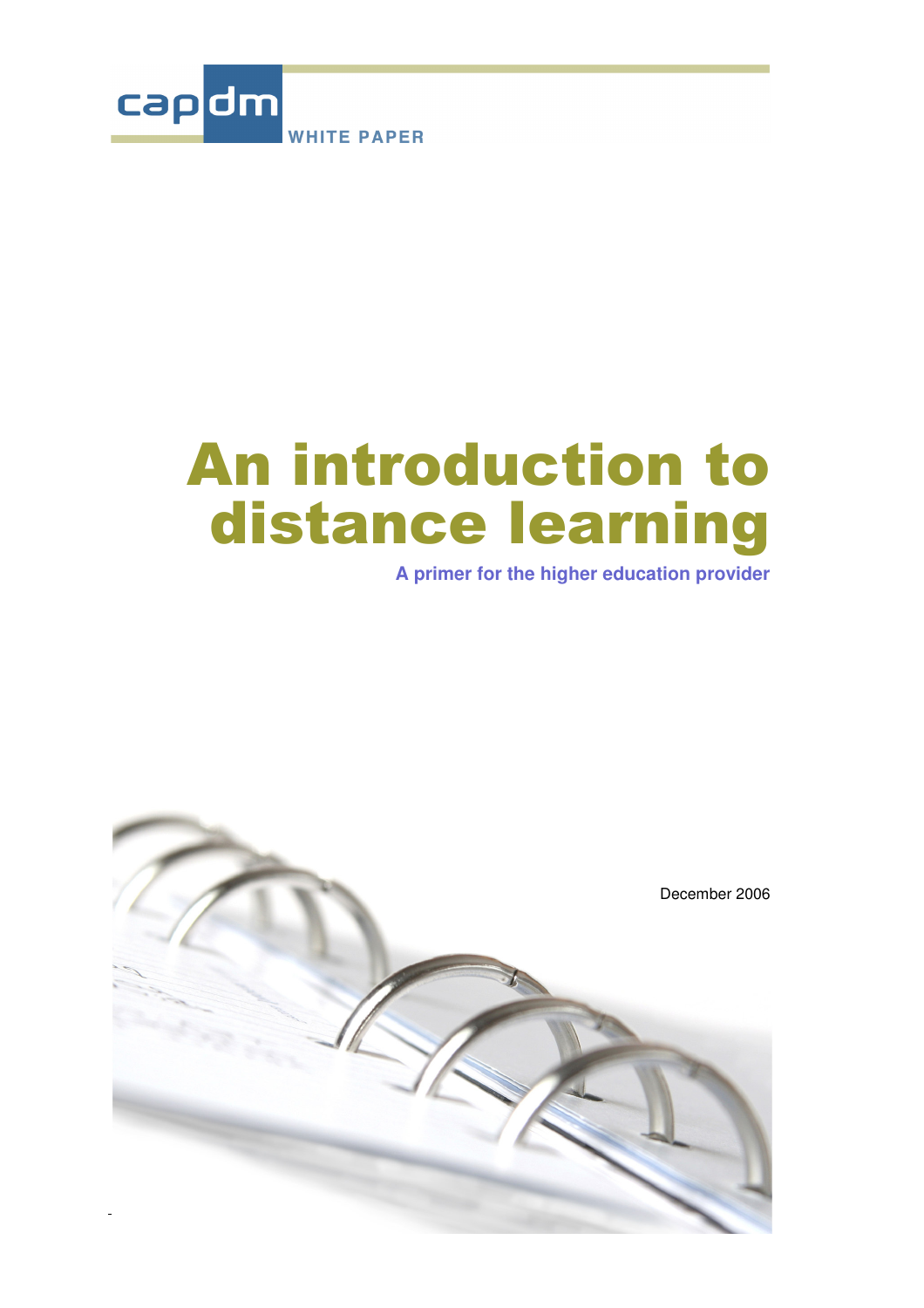

# **An introduction to** distance learning

**A primer for the higher education provider**

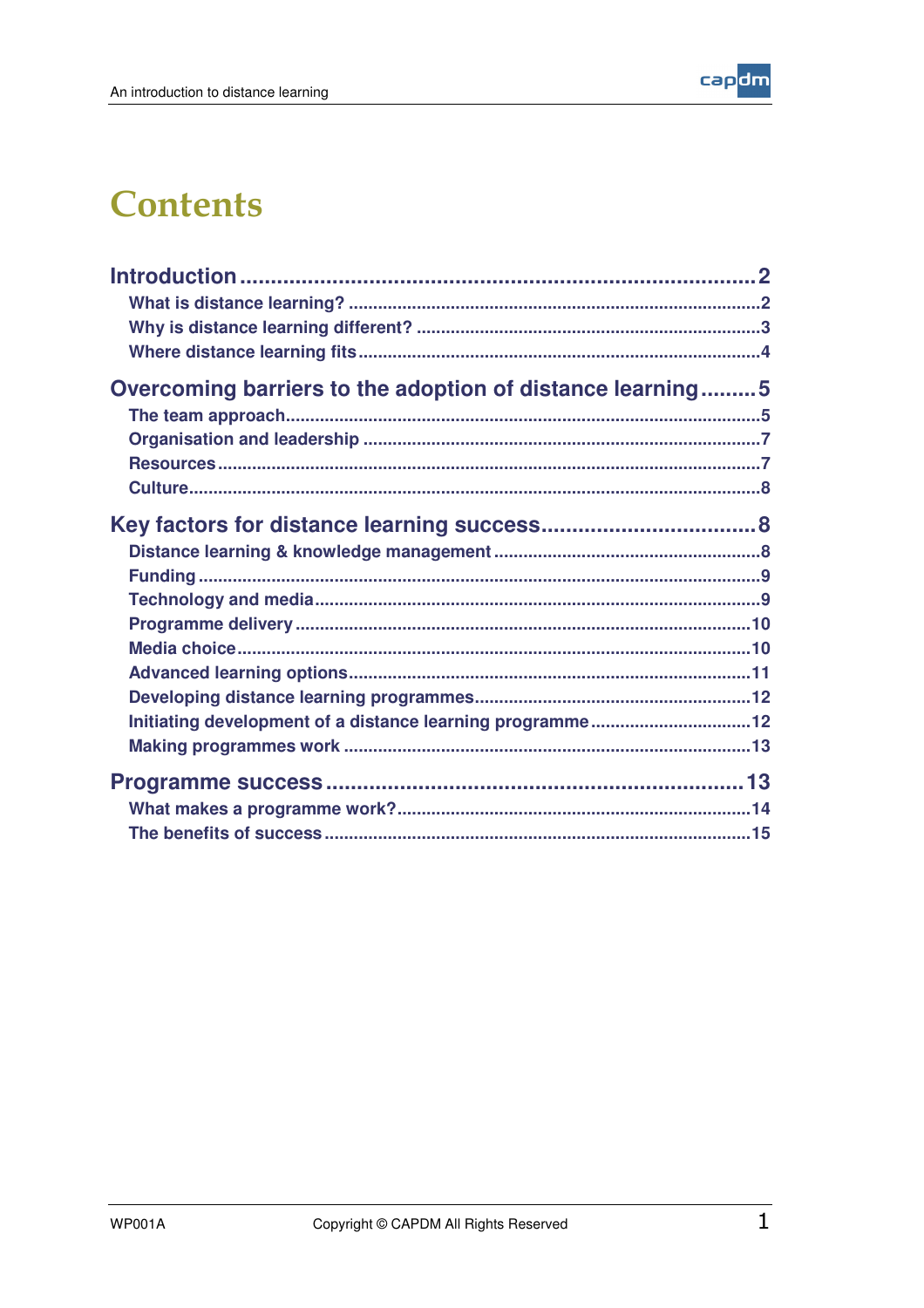

### **Contents**

| Overcoming barriers to the adoption of distance learning5 |  |
|-----------------------------------------------------------|--|
|                                                           |  |
|                                                           |  |
|                                                           |  |
|                                                           |  |
|                                                           |  |
|                                                           |  |
|                                                           |  |
|                                                           |  |
|                                                           |  |
|                                                           |  |
|                                                           |  |
|                                                           |  |
|                                                           |  |
| Initiating development of a distance learning programme12 |  |
|                                                           |  |
|                                                           |  |
|                                                           |  |
|                                                           |  |
|                                                           |  |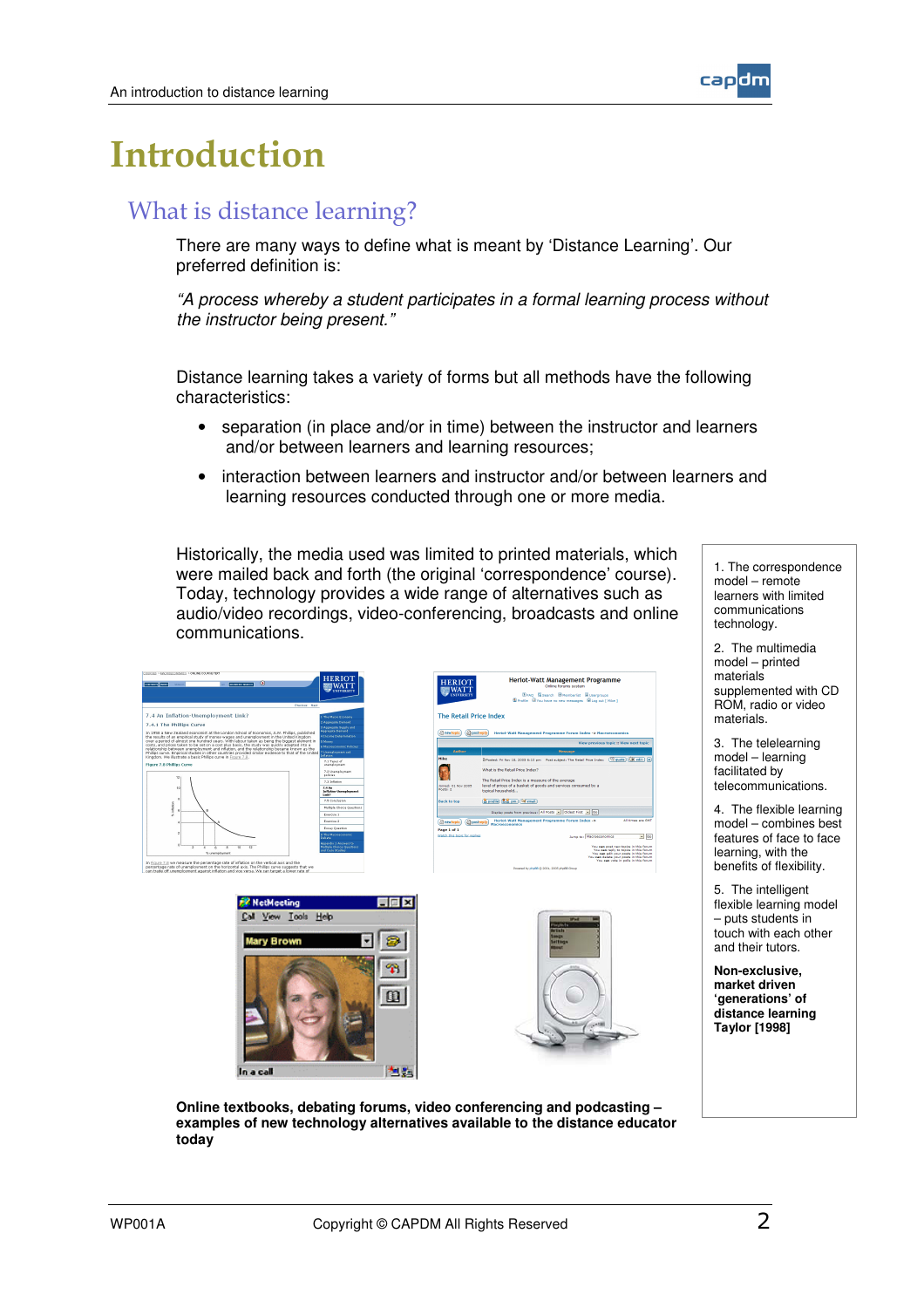

## <u>Introduction</u>

#### What is distance learning?

There are many ways to define what is meant by 'Distance Learning'. Our preferred definition is:

*"A process whereby a student participates in a formal learning process without the instructor being present."*

Distance learning takes a variety of forms but all methods have the following characteristics:

- separation (in place and/or in time) between the instructor and learners and/or between learners and learning resources;
- interaction between learners and instructor and/or between learners and learning resources conducted through one or more media.

Historically, the media used was limited to printed materials, which were mailed back and forth (the original 'correspondence' course). Today, technology provides a wide range of alternatives such as audio/video recordings, video-conferencing, broadcasts and online communications.



1. The correspondence model – remote learners with limited communications technology.

2. The multimedia model – printed materials<sup>"</sup> supplemented with CD ROM, radio or video materials.

3. The telelearning model – learning facilitated by telecommunications.

4. The flexible learning model – combines best features of face to face learning, with the benefits of flexibility.

5. The intelligent flexible learning model – puts students in touch with each other and their tutors.

**Non-exclusive, market driven 'generations' of distance learning Taylor [1998]**





**Online textbooks, debating forums, video conferencing and podcasting – examples of new technology alternatives available to the distance educator today**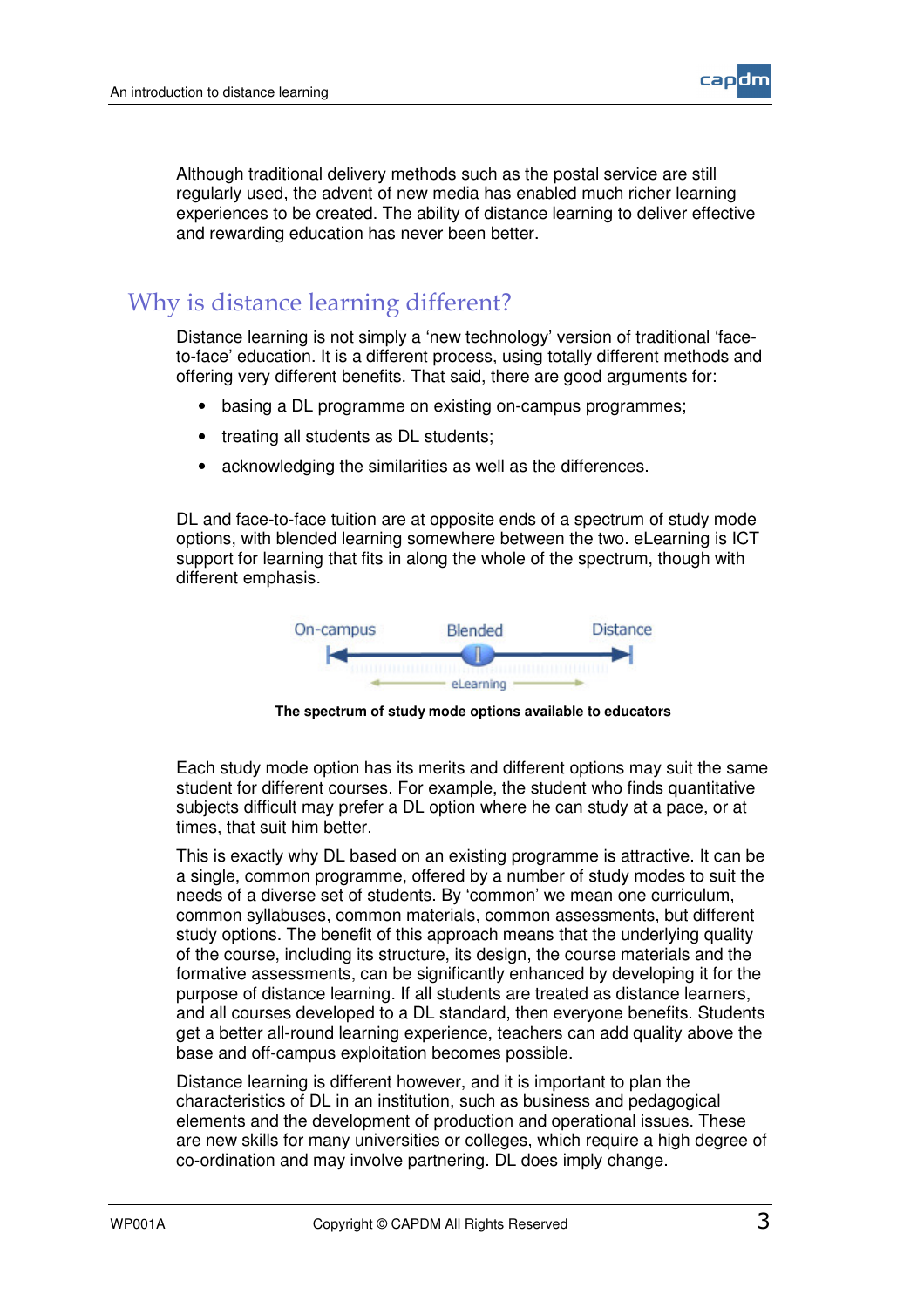

Although traditional delivery methods such as the postal service are still regularly used, the advent of new media has enabled much richer learning experiences to be created. The ability of distance learning to deliver effective and rewarding education has never been better.

#### Why is distance learning different?

Distance learning is not simply a 'new technology' version of traditional 'faceto-face' education. It is a different process, using totally different methods and offering very different benefits. That said, there are good arguments for:

- basing a DL programme on existing on-campus programmes;
- treating all students as DL students;
- acknowledging the similarities as well as the differences.

DL and face-to-face tuition are at opposite ends of a spectrum of study mode options, with blended learning somewhere between the two. eLearning is ICT support for learning that fits in along the whole of the spectrum, though with different emphasis.



**The spectrum of study mode options available to educators**

Each study mode option has its merits and different options may suit the same student for different courses. For example, the student who finds quantitative subjects difficult may prefer a DL option where he can study at a pace, or at times, that suit him better.

This is exactly why DL based on an existing programme is attractive. It can be a single, common programme, offered by a number of study modes to suit the needs of a diverse set of students. By 'common' we mean one curriculum, common syllabuses, common materials, common assessments, but different study options. The benefit of this approach means that the underlying quality of the course, including its structure, its design, the course materials and the formative assessments, can be significantly enhanced by developing it for the purpose of distance learning. If all students are treated as distance learners, and all courses developed to a DL standard, then everyone benefits. Students get a better all-round learning experience, teachers can add quality above the base and off-campus exploitation becomes possible.

Distance learning is different however, and it is important to plan the characteristics of DL in an institution, such as business and pedagogical elements and the development of production and operational issues. These are new skills for many universities or colleges, which require a high degree of co-ordination and may involve partnering. DL does imply change.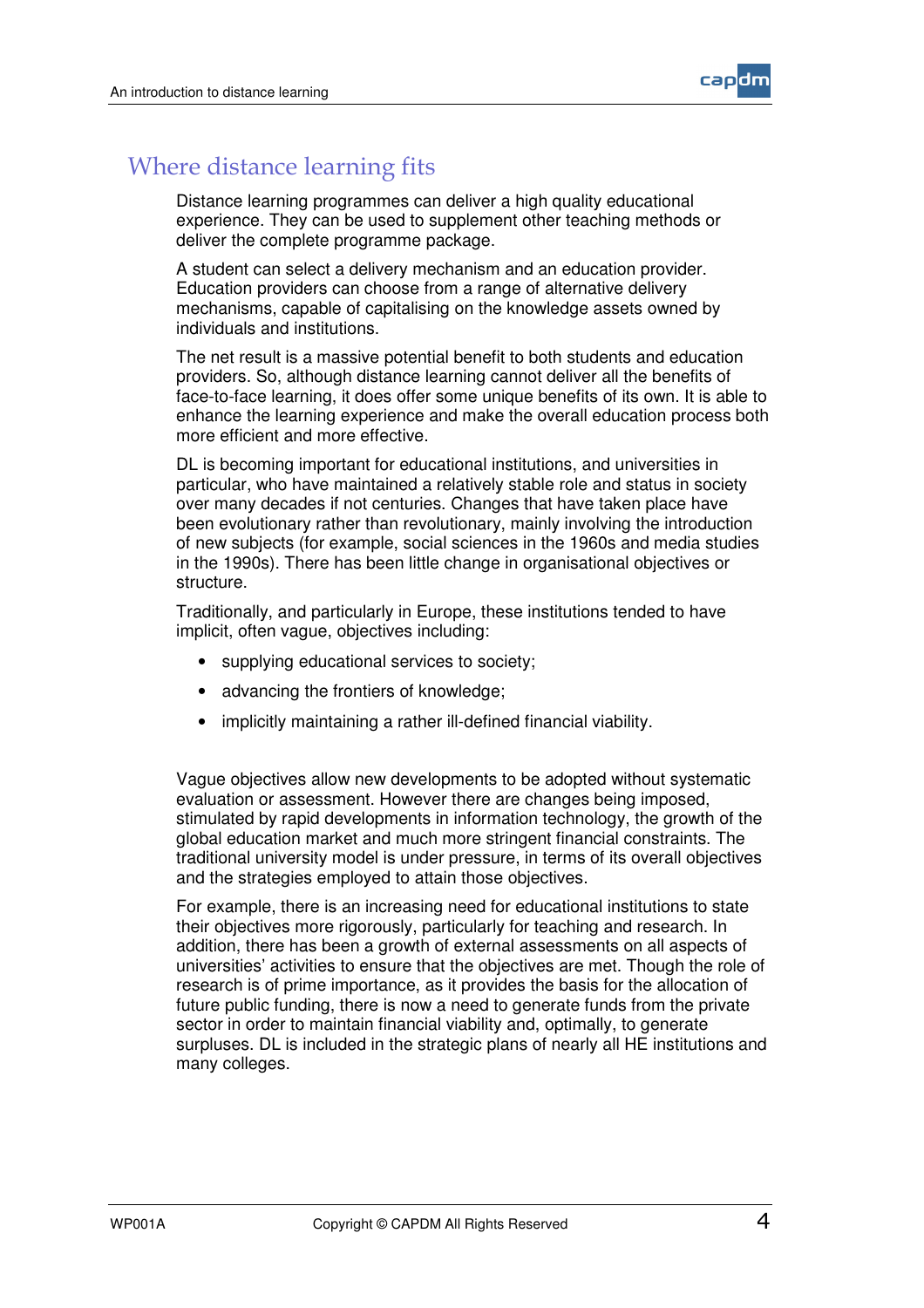

#### Where distance learning fits

Distance learning programmes can deliver a high quality educational experience. They can be used to supplement other teaching methods or deliver the complete programme package.

A student can select a delivery mechanism and an education provider. Education providers can choose from a range of alternative delivery mechanisms, capable of capitalising on the knowledge assets owned by individuals and institutions.

The net result is a massive potential benefit to both students and education providers. So, although distance learning cannot deliver all the benefits of face-to-face learning, it does offer some unique benefits of its own. It is able to enhance the learning experience and make the overall education process both more efficient and more effective.

DL is becoming important for educational institutions, and universities in particular, who have maintained a relatively stable role and status in society over many decades if not centuries. Changes that have taken place have been evolutionary rather than revolutionary, mainly involving the introduction of new subjects (for example, social sciences in the 1960s and media studies in the 1990s). There has been little change in organisational objectives or structure.

Traditionally, and particularly in Europe, these institutions tended to have implicit, often vague, objectives including:

- supplying educational services to society;
- advancing the frontiers of knowledge;
- implicitly maintaining a rather ill-defined financial viability.

Vague objectives allow new developments to be adopted without systematic evaluation or assessment. However there are changes being imposed, stimulated by rapid developments in information technology, the growth of the global education market and much more stringent financial constraints. The traditional university model is under pressure, in terms of its overall objectives and the strategies employed to attain those objectives.

For example, there is an increasing need for educational institutions to state their objectives more rigorously, particularly for teaching and research. In addition, there has been a growth of external assessments on all aspects of universities' activities to ensure that the objectives are met. Though the role of research is of prime importance, as it provides the basis for the allocation of future public funding, there is now a need to generate funds from the private sector in order to maintain financial viability and, optimally, to generate surpluses. DL is included in the strategic plans of nearly all HE institutions and many colleges.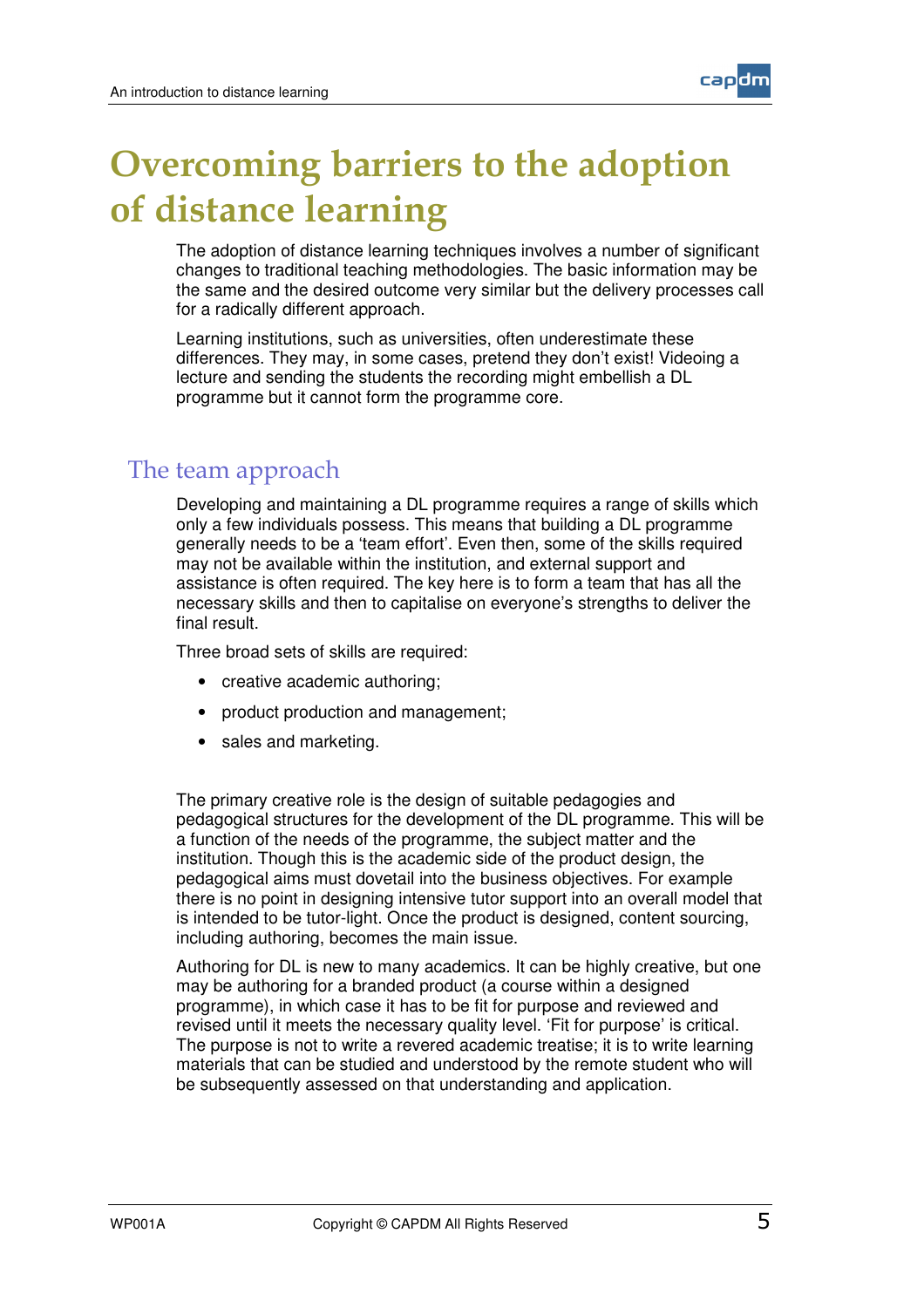

The adoption of distance learning techniques involves a number of significant changes to traditional teaching methodologies. The basic information may be the same and the desired outcome very similar but the delivery processes call for a radically different approach.

Learning institutions, such as universities, often underestimate these differences. They may, in some cases, pretend they don't exist! Videoing a lecture and sending the students the recording might embellish a DL programme but it cannot form the programme core.

#### The team approach

Developing and maintaining a DL programme requires a range of skills which only a few individuals possess. This means that building a DL programme generally needs to be a 'team effort'. Even then, some of the skills required may not be available within the institution, and external support and assistance is often required. The key here is to form a team that has all the necessary skills and then to capitalise on everyone's strengths to deliver the final result.

Three broad sets of skills are required:

- creative academic authoring;
- product production and management:
- sales and marketing.

The primary creative role is the design of suitable pedagogies and pedagogical structures for the development of the DL programme. This will be a function of the needs of the programme, the subject matter and the institution. Though this is the academic side of the product design, the pedagogical aims must dovetail into the business objectives. For example there is no point in designing intensive tutor support into an overall model that is intended to be tutor-light. Once the product is designed, content sourcing, including authoring, becomes the main issue.

Authoring for DL is new to many academics. It can be highly creative, but one may be authoring for a branded product (a course within a designed programme), in which case it has to be fit for purpose and reviewed and revised until it meets the necessary quality level. 'Fit for purpose' is critical. The purpose is not to write a revered academic treatise; it is to write learning materials that can be studied and understood by the remote student who will be subsequently assessed on that understanding and application.

caodh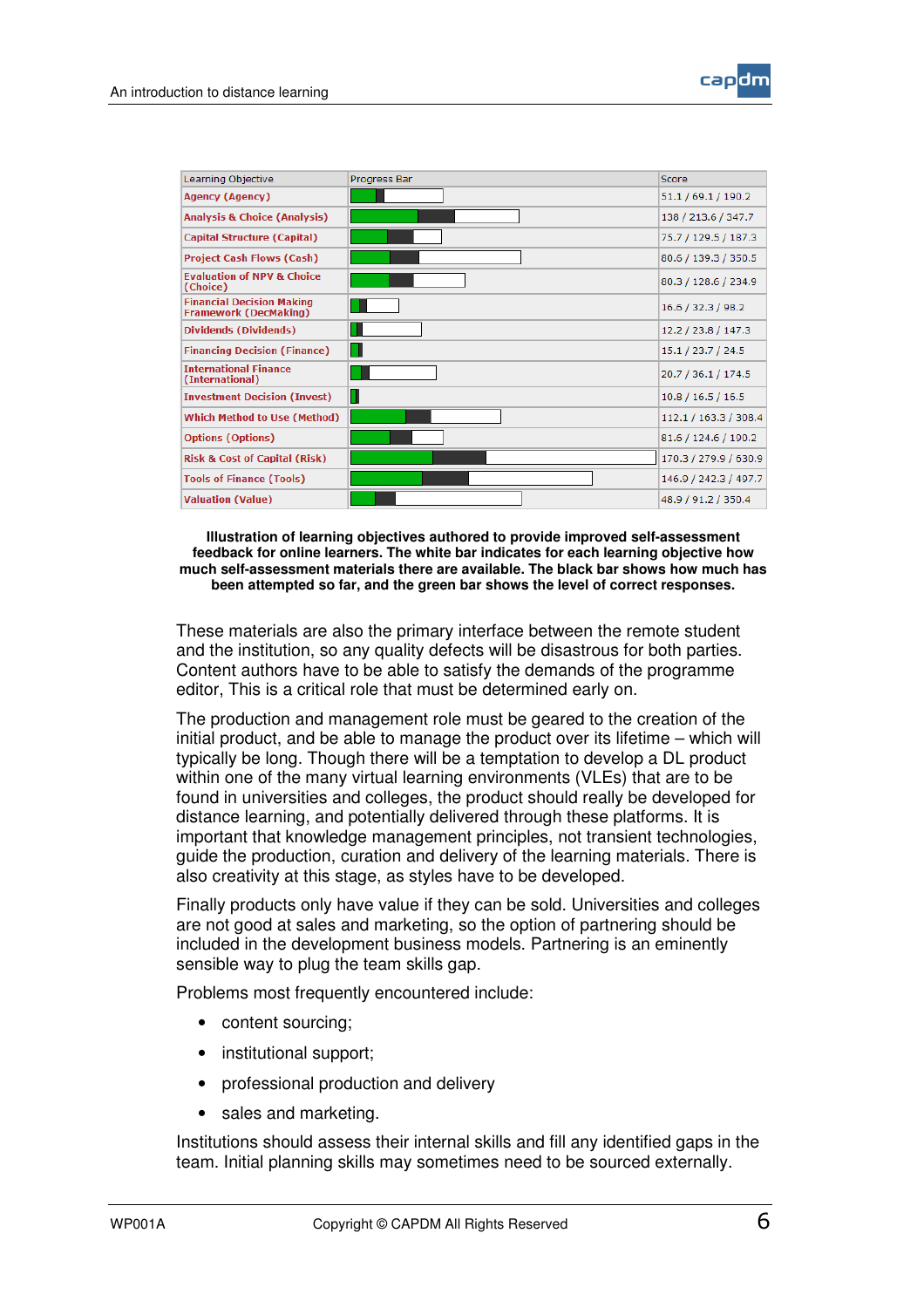

| Learning Objective                                               | Progress Bar | Score                 |
|------------------------------------------------------------------|--------------|-----------------------|
| <b>Agency (Agency)</b>                                           |              | 51.1 / 69.1 / 190.2   |
| <b>Analysis &amp; Choice (Analysis)</b>                          |              | 138 / 213.6 / 347.7   |
| <b>Capital Structure (Capital)</b>                               |              | 75.7 / 129.5 / 187.3  |
| <b>Project Cash Flows (Cash)</b>                                 |              | 80.6 / 139.3 / 350.5  |
| <b>Evaluation of NPV &amp; Choice</b><br>(Choice)                |              | 80.3 / 128.6 / 234.9  |
| <b>Financial Decision Making</b><br><b>Framework (DecMaking)</b> |              | 16.6 / 32.3 / 98.2    |
| <b>Dividends (Dividends)</b>                                     |              | 12.2 / 23.8 / 147.3   |
| <b>Financing Decision (Finance)</b>                              |              | 15.1 / 23.7 / 24.5    |
| <b>International Finance</b><br>(International)                  |              | 20.7 / 36.1 / 174.5   |
| <b>Investment Decision (Invest)</b>                              |              | 10.8 / 16.5 / 16.5    |
| <b>Which Method to Use (Method)</b>                              |              | 112.1 / 163.3 / 308.4 |
| <b>Options (Options)</b>                                         |              | 81.6 / 124.6 / 190.2  |
| <b>Risk &amp; Cost of Capital (Risk)</b>                         |              | 170.3 / 279.9 / 630.9 |
| <b>Tools of Finance (Tools)</b>                                  |              | 146.9 / 242.3 / 497.7 |
| <b>Valuation (Value)</b>                                         |              | 48.9 / 91.2 / 350.4   |

**Illustration of learning objectives authored to provide improved self-assessment feedback for online learners. The white bar indicates for each learning objective how much self-assessment materials there are available. The black bar shows how much has been attempted so far, and the green bar shows the level of correct responses.**

These materials are also the primary interface between the remote student and the institution, so any quality defects will be disastrous for both parties. Content authors have to be able to satisfy the demands of the programme editor, This is a critical role that must be determined early on.

The production and management role must be geared to the creation of the initial product, and be able to manage the product over its lifetime – which will typically be long. Though there will be a temptation to develop a DL product within one of the many virtual learning environments (VLEs) that are to be found in universities and colleges, the product should really be developed for distance learning, and potentially delivered through these platforms. It is important that knowledge management principles, not transient technologies, guide the production, curation and delivery of the learning materials. There is also creativity at this stage, as styles have to be developed.

Finally products only have value if they can be sold. Universities and colleges are not good at sales and marketing, so the option of partnering should be included in the development business models. Partnering is an eminently sensible way to plug the team skills gap.

Problems most frequently encountered include:

- content sourcing;
- institutional support;
- professional production and delivery
- sales and marketing.

Institutions should assess their internal skills and fill any identified gaps in the team. Initial planning skills may sometimes need to be sourced externally.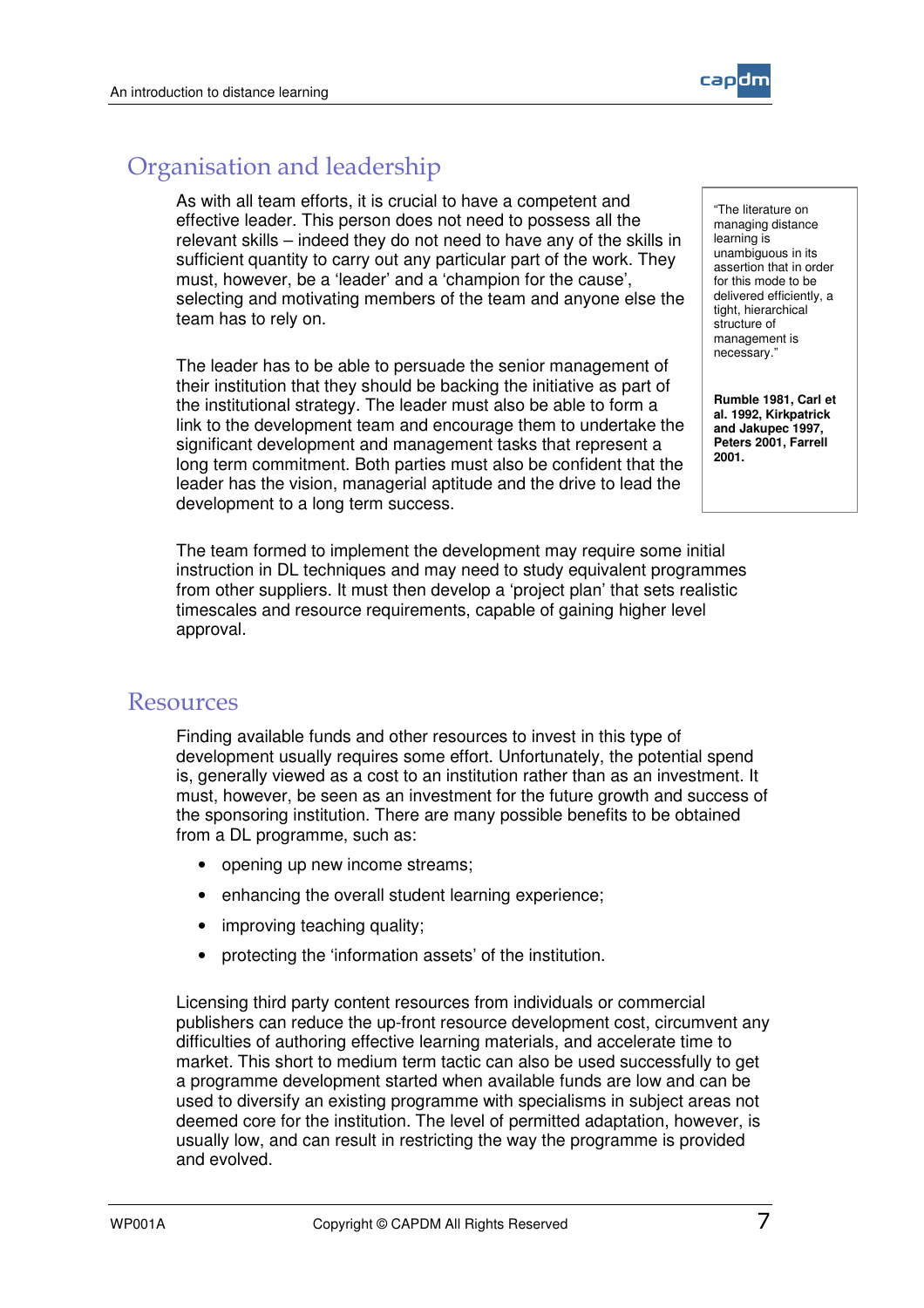

#### Organisation and leadership

As with all team efforts, it is crucial to have a competent and effective leader. This person does not need to possess all the relevant skills – indeed they do not need to have any of the skills in sufficient quantity to carry out any particular part of the work. They must, however, be a 'leader' and a 'champion for the cause', selecting and motivating members of the team and anyone else the team has to rely on.

The leader has to be able to persuade the senior management of their institution that they should be backing the initiative as part of the institutional strategy. The leader must also be able to form a link to the development team and encourage them to undertake the significant development and management tasks that represent a long term commitment. Both parties must also be confident that the leader has the vision, managerial aptitude and the drive to lead the development to a long term success.

The team formed to implement the development may require some initial instruction in DL techniques and may need to study equivalent programmes from other suppliers. It must then develop a 'project plan' that sets realistic timescales and resource requirements, capable of gaining higher level approval.

Resources

Finding available funds and other resources to invest in this type of development usually requires some effort. Unfortunately, the potential spend is, generally viewed as a cost to an institution rather than as an investment. It must, however, be seen as an investment for the future growth and success of the sponsoring institution. There are many possible benefits to be obtained from a DL programme, such as:

- opening up new income streams;
- enhancing the overall student learning experience;
- improving teaching quality;
- protecting the 'information assets' of the institution.

Licensing third party content resources from individuals or commercial publishers can reduce the up-front resource development cost, circumvent any difficulties of authoring effective learning materials, and accelerate time to market. This short to medium term tactic can also be used successfully to get a programme development started when available funds are low and can be used to diversify an existing programme with specialisms in subject areas not deemed core for the institution. The level of permitted adaptation, however, is usually low, and can result in restricting the way the programme is provided and evolved.

"The literature on managing distance learning is unambiguous in its assertion that in order for this mode to be delivered efficiently, a tight, hierarchical structure of management is necessary."

**Rumble 1981, Carl et al. 1992, Kirkpatrick and Jakupec 1997, Peters 2001, Farrell 2001.**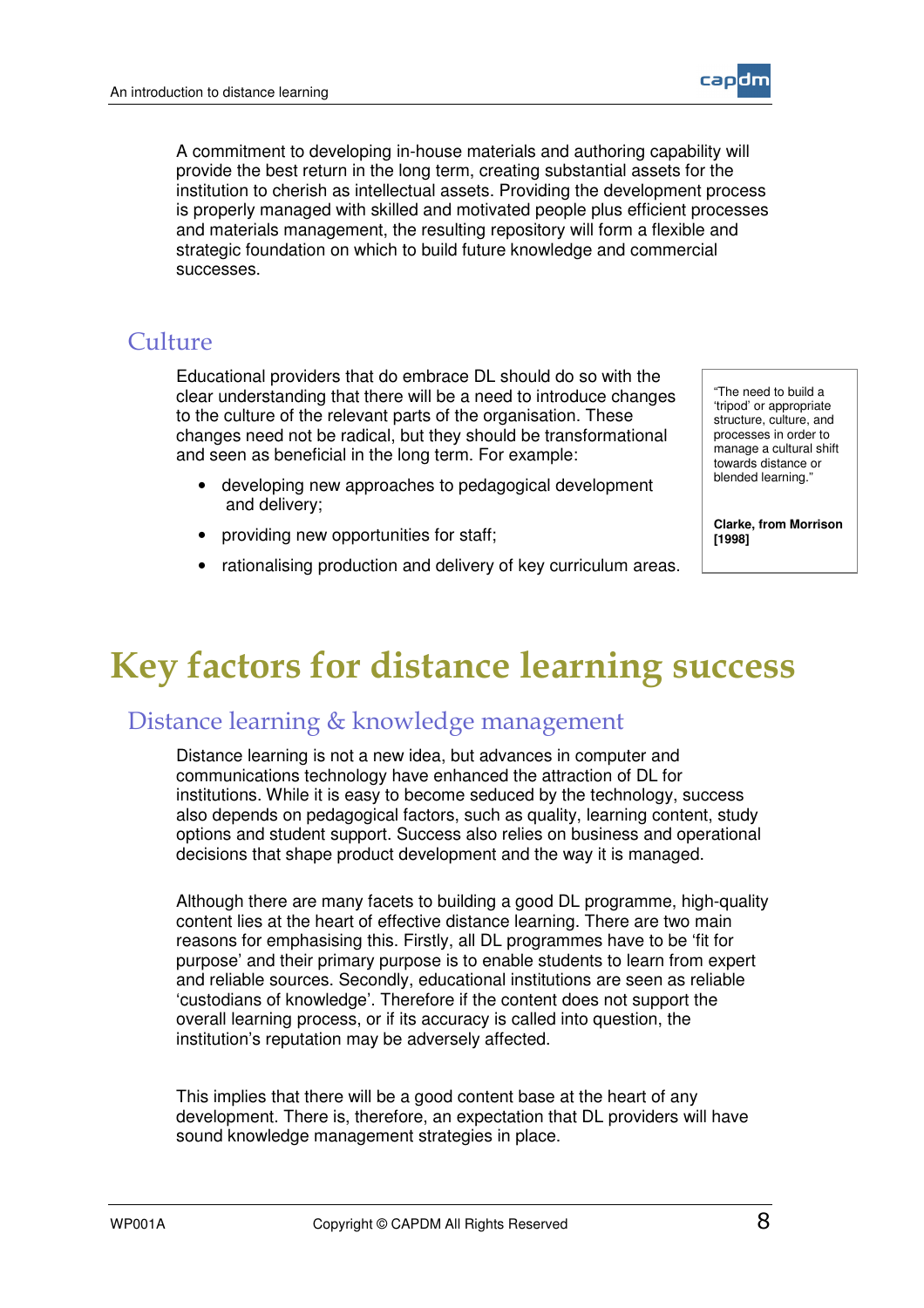

#### Culture

Educational providers that do embrace DL should do so with the clear understanding that there will be a need to introduce changes to the culture of the relevant parts of the organisation. These changes need not be radical, but they should be transformational and seen as beneficial in the long term. For example:

- developing new approaches to pedagogical development and delivery;
- providing new opportunities for staff;
- rationalising production and delivery of key curriculum areas.

"The need to build a 'tripod' or appropriate structure, culture, and processes in order to manage a cultural shift towards distance or blended learning."

**Clarke, from Morrison [1998]**

### **Key factors for distance learning success**

#### Distance learning & knowledge management

Distance learning is not a new idea, but advances in computer and communications technology have enhanced the attraction of DL for institutions. While it is easy to become seduced by the technology, success also depends on pedagogical factors, such as quality, learning content, study options and student support. Success also relies on business and operational decisions that shape product development and the way it is managed.

Although there are many facets to building a good DL programme, high-quality content lies at the heart of effective distance learning. There are two main reasons for emphasising this. Firstly, all DL programmes have to be 'fit for purpose' and their primary purpose is to enable students to learn from expert and reliable sources. Secondly, educational institutions are seen as reliable 'custodians of knowledge'. Therefore if the content does not support the overall learning process, or if its accuracy is called into question, the institution's reputation may be adversely affected.

This implies that there will be a good content base at the heart of any development. There is, therefore, an expectation that DL providers will have sound knowledge management strategies in place.

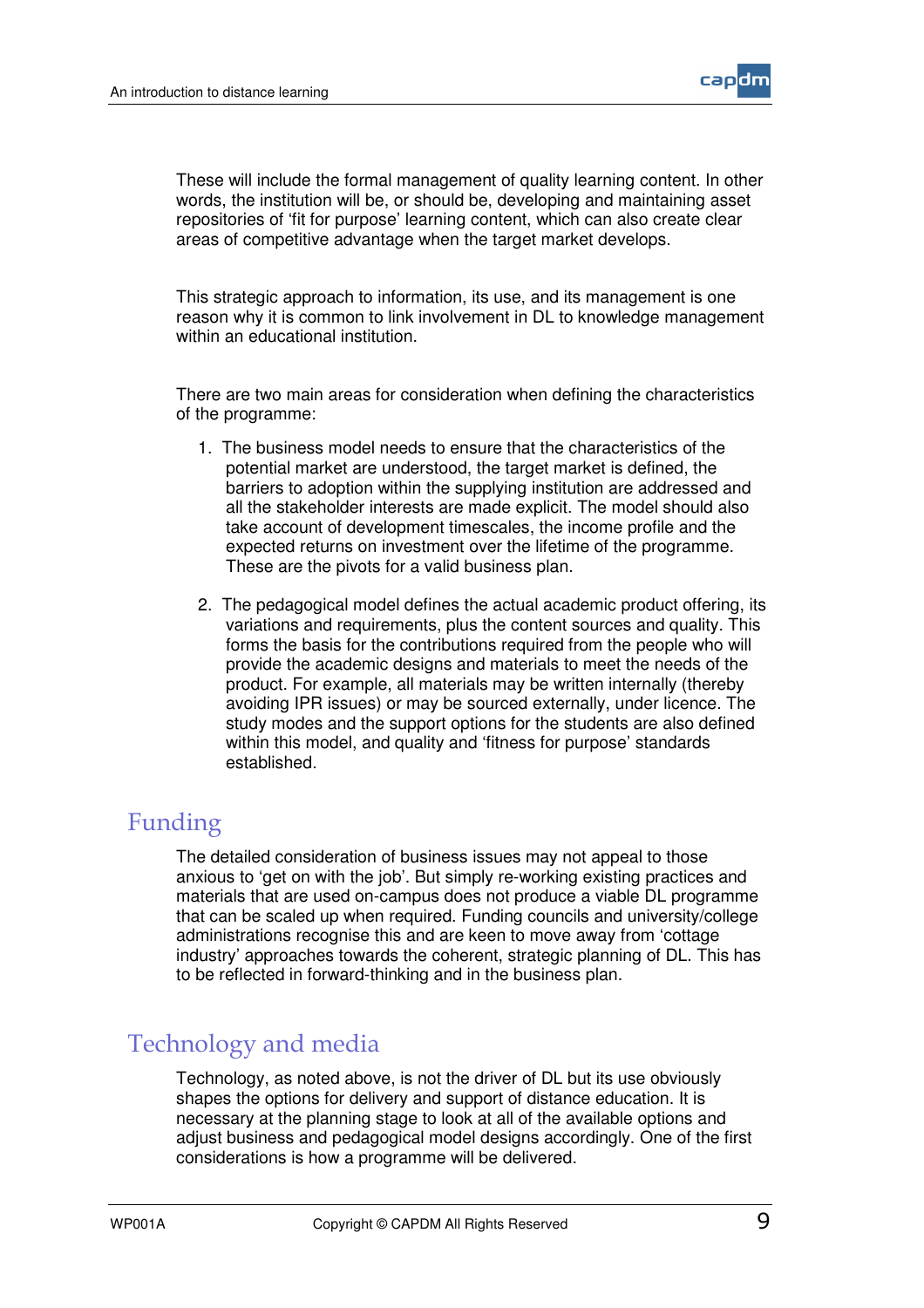

These will include the formal management of quality learning content. In other words, the institution will be, or should be, developing and maintaining asset repositories of 'fit for purpose' learning content, which can also create clear areas of competitive advantage when the target market develops.

This strategic approach to information, its use, and its management is one reason why it is common to link involvement in DL to knowledge management within an educational institution.

There are two main areas for consideration when defining the characteristics of the programme:

- 1. The business model needs to ensure that the characteristics of the potential market are understood, the target market is defined, the barriers to adoption within the supplying institution are addressed and all the stakeholder interests are made explicit. The model should also take account of development timescales, the income profile and the expected returns on investment over the lifetime of the programme. These are the pivots for a valid business plan.
- 2. The pedagogical model defines the actual academic product offering, its variations and requirements, plus the content sources and quality. This forms the basis for the contributions required from the people who will provide the academic designs and materials to meet the needs of the product. For example, all materials may be written internally (thereby avoiding IPR issues) or may be sourced externally, under licence. The study modes and the support options for the students are also defined within this model, and quality and 'fitness for purpose' standards established.

#### Funding

The detailed consideration of business issues may not appeal to those anxious to 'get on with the job'. But simply re-working existing practices and materials that are used on-campus does not produce a viable DL programme that can be scaled up when required. Funding councils and university/college administrations recognise this and are keen to move away from 'cottage industry' approaches towards the coherent, strategic planning of DL. This has to be reflected in forward-thinking and in the business plan.

#### Technology and media

Technology, as noted above, is not the driver of DL but its use obviously shapes the options for delivery and support of distance education. It is necessary at the planning stage to look at all of the available options and adjust business and pedagogical model designs accordingly. One of the first considerations is how a programme will be delivered.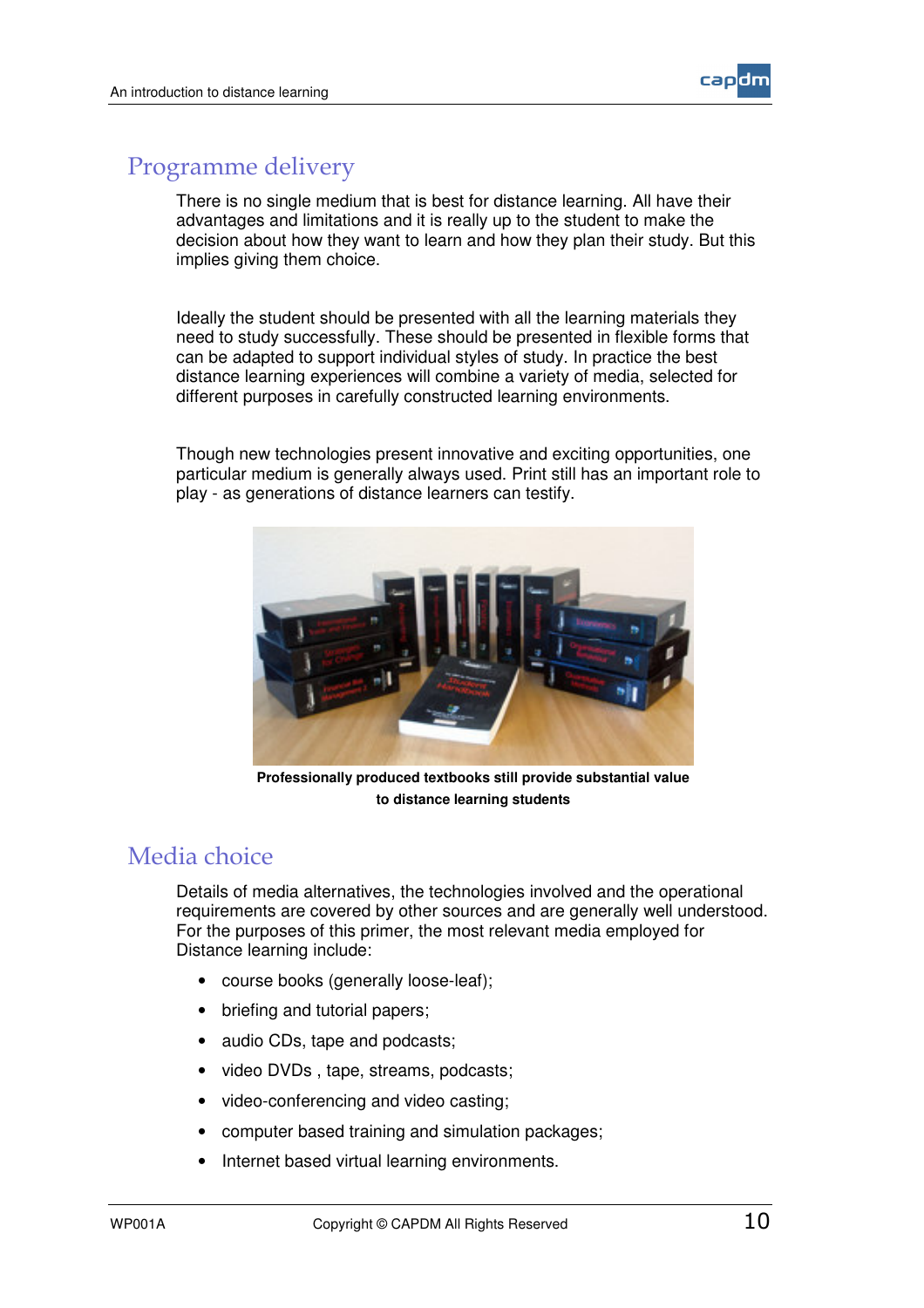

#### Programme delivery

There is no single medium that is best for distance learning. All have their advantages and limitations and it is really up to the student to make the decision about how they want to learn and how they plan their study. But this implies giving them choice.

Ideally the student should be presented with all the learning materials they need to study successfully. These should be presented in flexible forms that can be adapted to support individual styles of study. In practice the best distance learning experiences will combine a variety of media, selected for different purposes in carefully constructed learning environments.

Though new technologies present innovative and exciting opportunities, one particular medium is generally always used. Print still has an important role to play - as generations of distance learners can testify.



**Professionally produced textbooks still provide substantial value to distance learning students**

#### Media choice

Details of media alternatives, the technologies involved and the operational requirements are covered by other sources and are generally well understood. For the purposes of this primer, the most relevant media employed for Distance learning include:

- course books (generally loose-leaf);
- briefing and tutorial papers;
- audio CDs, tape and podcasts;
- video DVDs , tape, streams, podcasts;
- video-conferencing and video casting;
- computer based training and simulation packages;
- Internet based virtual learning environments.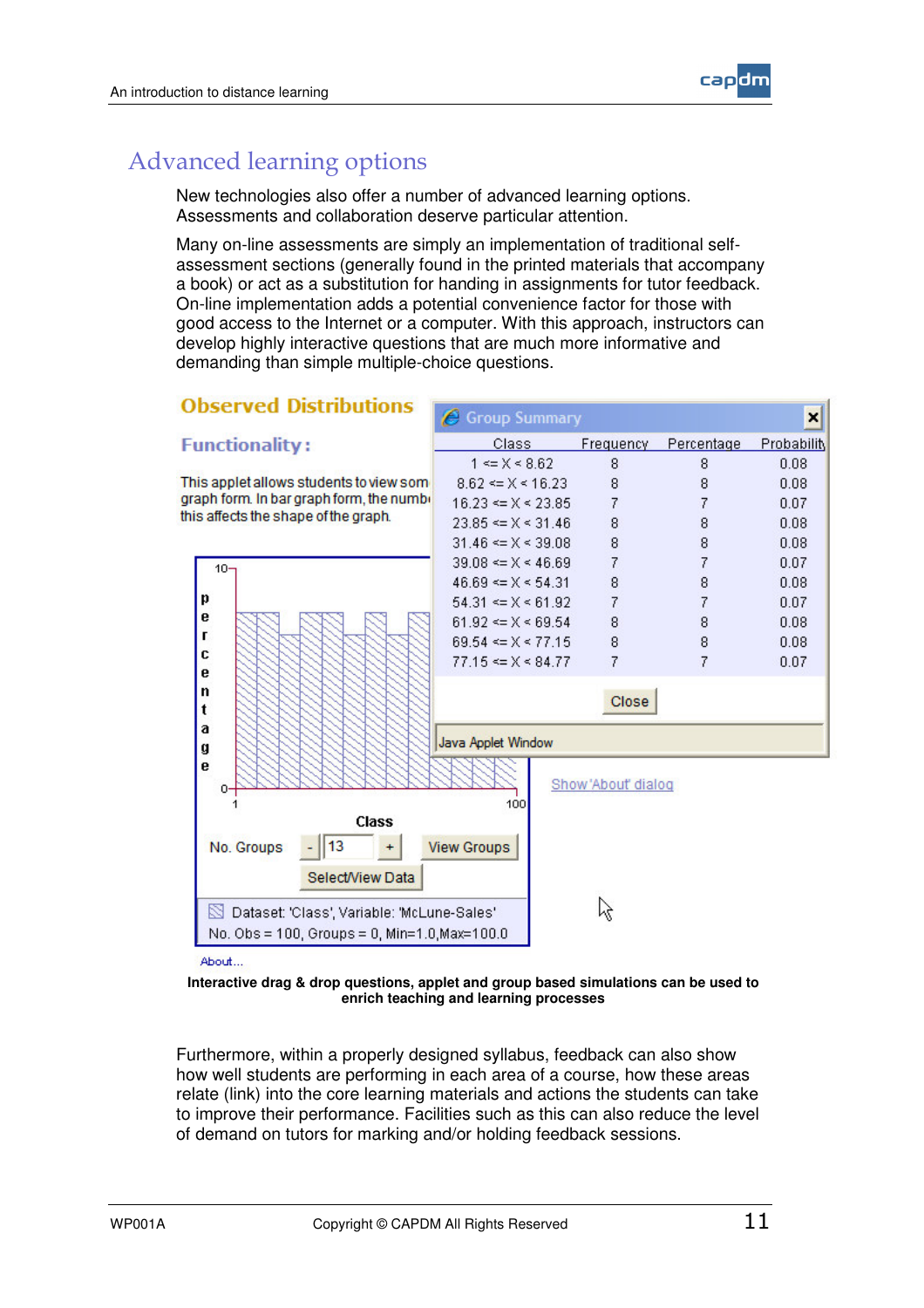

#### **Advanced learning options**

New technologies also offer a number of advanced learning options. Assessments and collaboration deserve particular attention.

Many on-line assessments are simply an implementation of traditional selfassessment sections (generally found in the printed materials that accompany a book) or act as a substitution for handing in assignments for tutor feedback. On-line implementation adds a potential convenience factor for those with good access to the Internet or a computer. With this approach, instructors can develop highly interactive questions that are much more informative and demanding than simple multiple-choice questions.



About

**Interactive drag & drop questions, applet and group based simulations can be used to enrich teaching and learning processes**

Furthermore, within a properly designed syllabus, feedback can also show how well students are performing in each area of a course, how these areas relate (link) into the core learning materials and actions the students can take to improve their performance. Facilities such as this can also reduce the level of demand on tutors for marking and/or holding feedback sessions.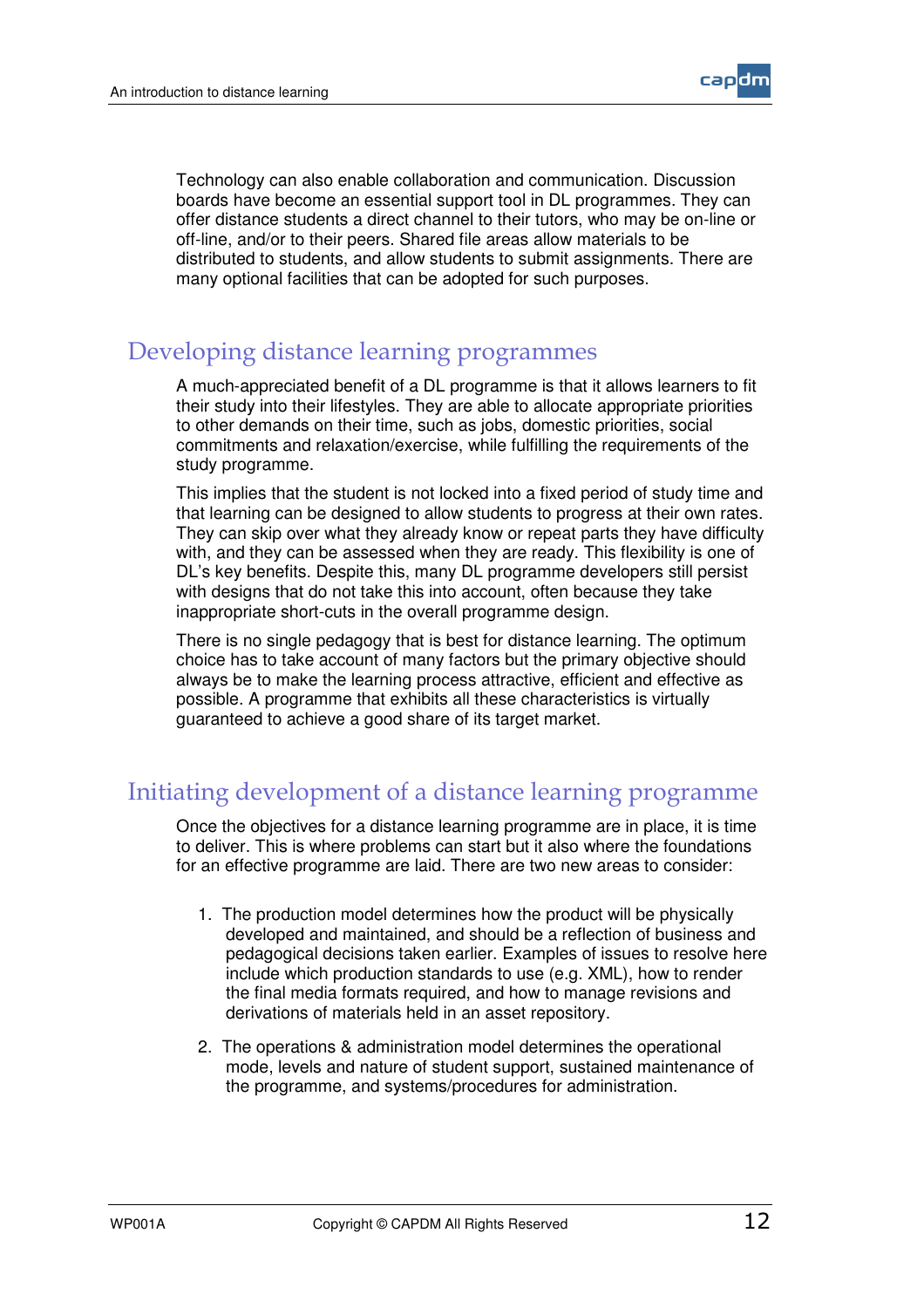

Technology can also enable collaboration and communication. Discussion boards have become an essential support tool in DL programmes. They can offer distance students a direct channel to their tutors, who may be on-line or off-line, and/or to their peers. Shared file areas allow materials to be distributed to students, and allow students to submit assignments. There are many optional facilities that can be adopted for such purposes.

#### Developing distance learning programmes

A much-appreciated benefit of a DL programme is that it allows learners to fit their study into their lifestyles. They are able to allocate appropriate priorities to other demands on their time, such as jobs, domestic priorities, social commitments and relaxation/exercise, while fulfilling the requirements of the study programme.

This implies that the student is not locked into a fixed period of study time and that learning can be designed to allow students to progress at their own rates. They can skip over what they already know or repeat parts they have difficulty with, and they can be assessed when they are ready. This flexibility is one of DL's key benefits. Despite this, many DL programme developers still persist with designs that do not take this into account, often because they take inappropriate short-cuts in the overall programme design.

There is no single pedagogy that is best for distance learning. The optimum choice has to take account of many factors but the primary objective should always be to make the learning process attractive, efficient and effective as possible. A programme that exhibits all these characteristics is virtually guaranteed to achieve a good share of its target market.

#### Initiating development of a distance learning programme

Once the objectives for a distance learning programme are in place, it is time to deliver. This is where problems can start but it also where the foundations for an effective programme are laid. There are two new areas to consider:

- 1. The production model determines how the product will be physically developed and maintained, and should be a reflection of business and pedagogical decisions taken earlier. Examples of issues to resolve here include which production standards to use (e.g. XML), how to render the final media formats required, and how to manage revisions and derivations of materials held in an asset repository.
- 2. The operations & administration model determines the operational mode, levels and nature of student support, sustained maintenance of the programme, and systems/procedures for administration.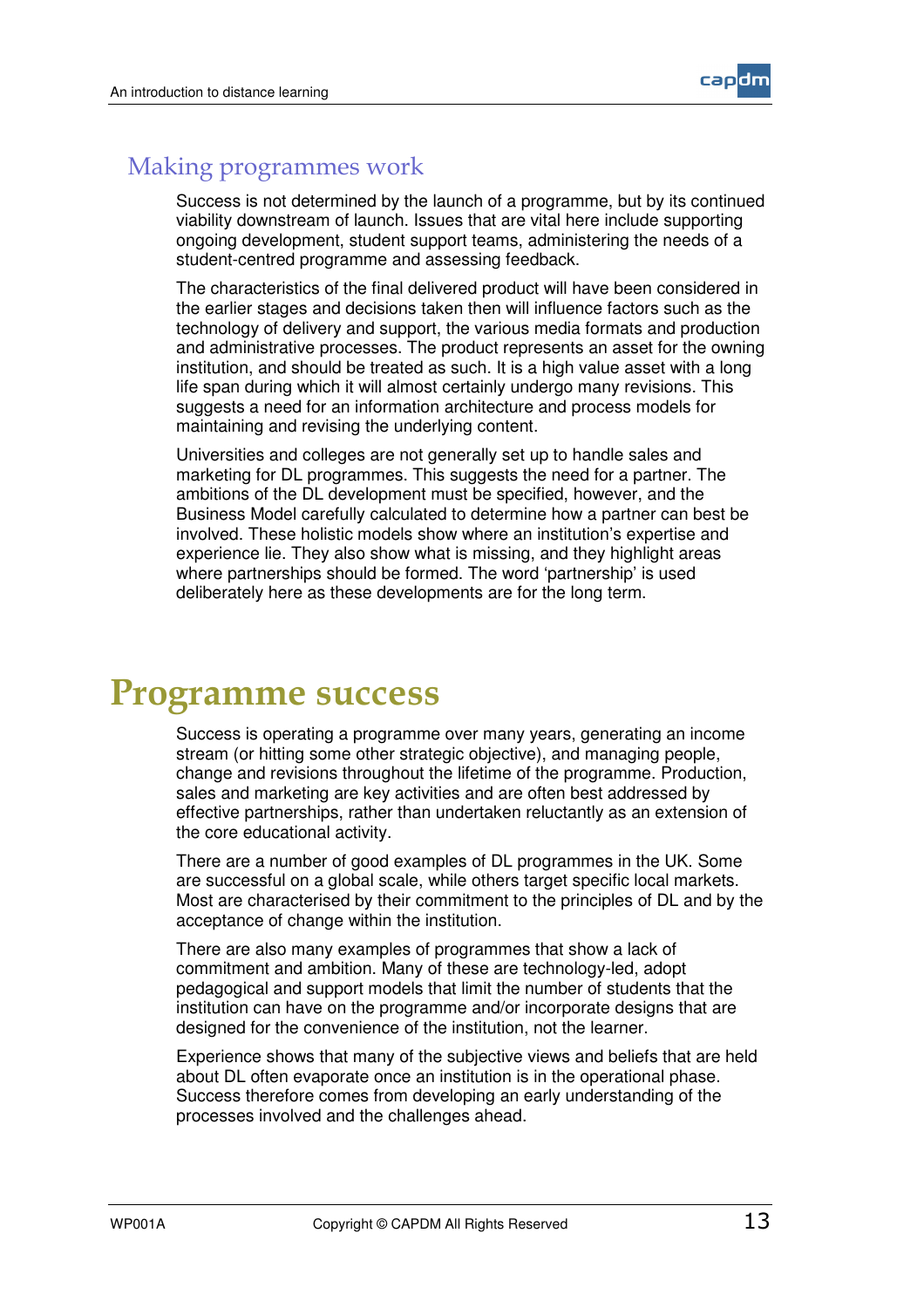

#### **Making programmes work**

Success is not determined by the launch of a programme, but by its continued viability downstream of launch. Issues that are vital here include supporting ongoing development, student support teams, administering the needs of a student-centred programme and assessing feedback.

The characteristics of the final delivered product will have been considered in the earlier stages and decisions taken then will influence factors such as the technology of delivery and support, the various media formats and production and administrative processes. The product represents an asset for the owning institution, and should be treated as such. It is a high value asset with a long life span during which it will almost certainly undergo many revisions. This suggests a need for an information architecture and process models for maintaining and revising the underlying content.

Universities and colleges are not generally set up to handle sales and marketing for DL programmes. This suggests the need for a partner. The ambitions of the DL development must be specified, however, and the Business Model carefully calculated to determine how a partner can best be involved. These holistic models show where an institution's expertise and experience lie. They also show what is missing, and they highlight areas where partnerships should be formed. The word 'partnership' is used deliberately here as these developments are for the long term.

### Programme success

Success is operating a programme over many years, generating an income stream (or hitting some other strategic objective), and managing people, change and revisions throughout the lifetime of the programme. Production, sales and marketing are key activities and are often best addressed by effective partnerships, rather than undertaken reluctantly as an extension of the core educational activity.

There are a number of good examples of DL programmes in the UK. Some are successful on a global scale, while others target specific local markets. Most are characterised by their commitment to the principles of DL and by the acceptance of change within the institution.

There are also many examples of programmes that show a lack of commitment and ambition. Many of these are technology-led, adopt pedagogical and support models that limit the number of students that the institution can have on the programme and/or incorporate designs that are designed for the convenience of the institution, not the learner.

Experience shows that many of the subjective views and beliefs that are held about DL often evaporate once an institution is in the operational phase. Success therefore comes from developing an early understanding of the processes involved and the challenges ahead.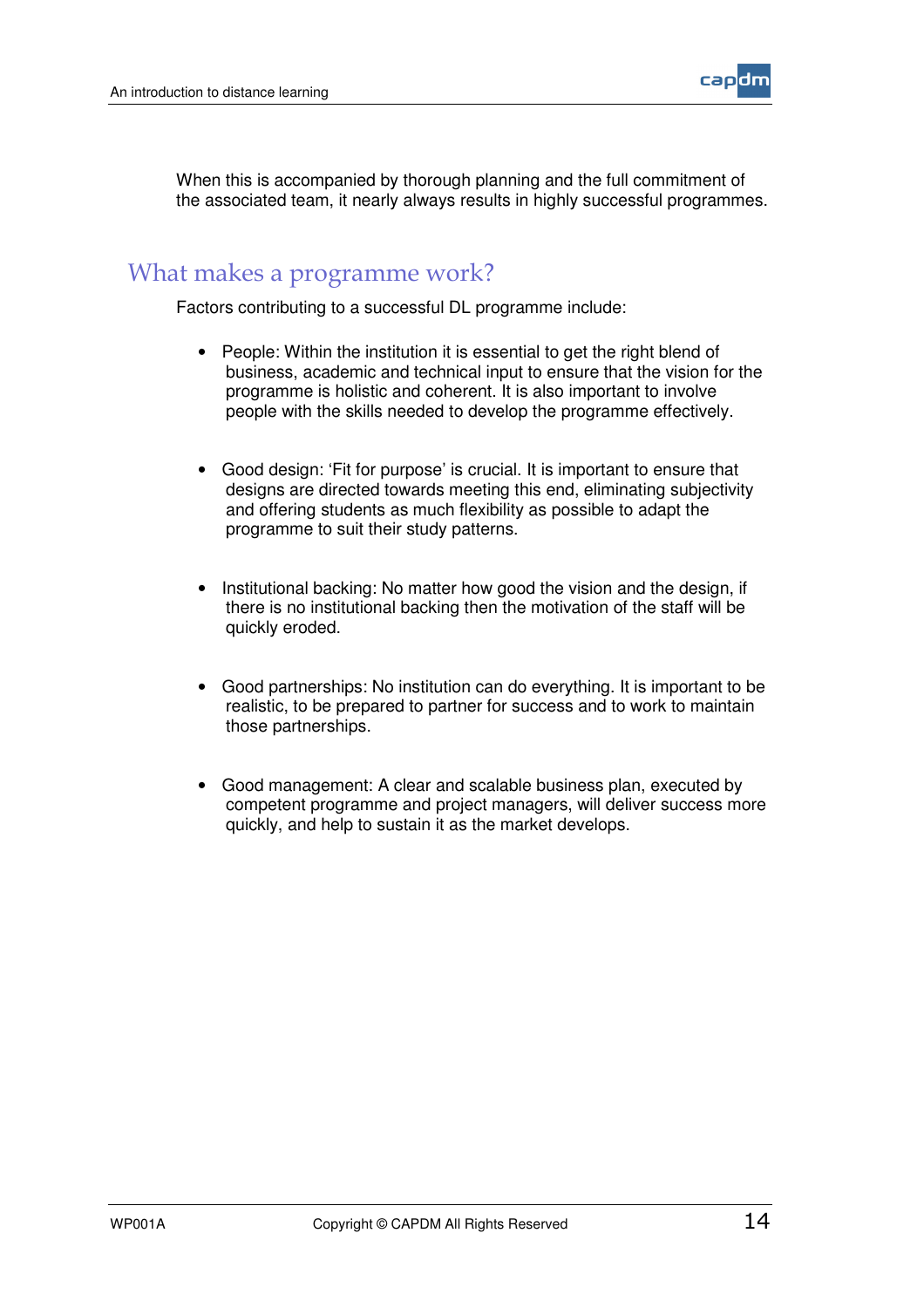

When this is accompanied by thorough planning and the full commitment of the associated team, it nearly always results in highly successful programmes.

#### What makes a programme work?

Factors contributing to a successful DL programme include:

- People: Within the institution it is essential to get the right blend of business, academic and technical input to ensure that the vision for the programme is holistic and coherent. It is also important to involve people with the skills needed to develop the programme effectively.
- Good design: 'Fit for purpose' is crucial. It is important to ensure that designs are directed towards meeting this end, eliminating subjectivity and offering students as much flexibility as possible to adapt the programme to suit their study patterns.
- Institutional backing: No matter how good the vision and the design, if there is no institutional backing then the motivation of the staff will be quickly eroded.
- Good partnerships: No institution can do everything. It is important to be realistic, to be prepared to partner for success and to work to maintain those partnerships.
- Good management: A clear and scalable business plan, executed by competent programme and project managers, will deliver success more quickly, and help to sustain it as the market develops.